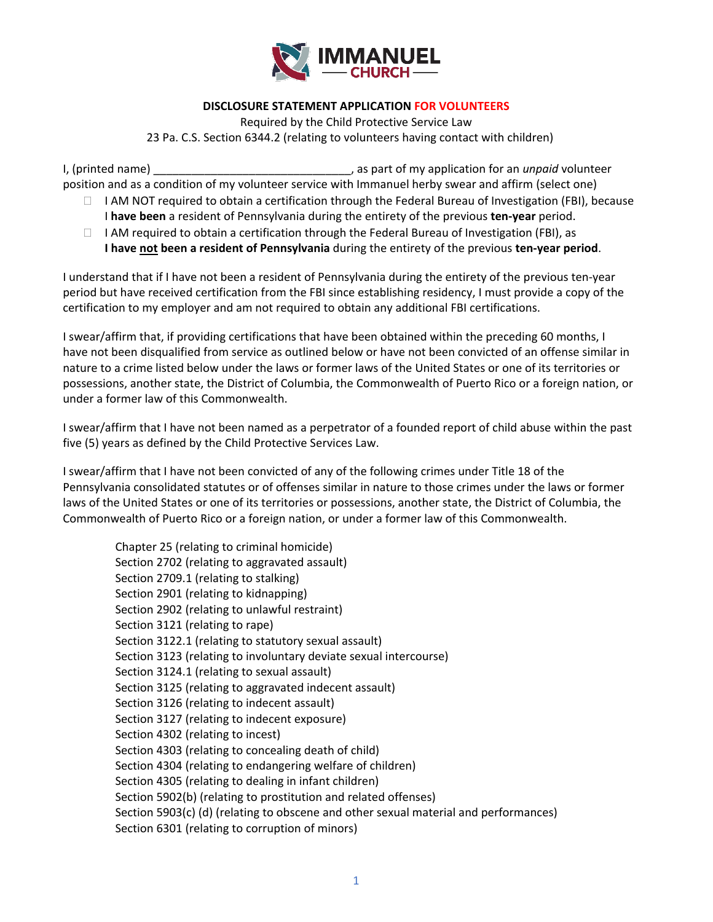

## **DISCLOSURE STATEMENT APPLICATION FOR VOLUNTEERS**

Required by the Child Protective Service Law 23 Pa. C.S. Section 6344.2 (relating to volunteers having contact with children)

I, (printed name) \_\_\_\_\_\_\_\_\_\_\_\_\_\_\_\_\_\_\_\_\_\_\_\_\_\_\_\_\_\_\_, as part of my application for an *unpaid* volunteer position and as a condition of my volunteer service with Immanuel herby swear and affirm (select one)

- $\Box$  I AM NOT required to obtain a certification through the Federal Bureau of Investigation (FBI), because I **have been** a resident of Pennsylvania during the entirety of the previous **ten-year** period.
- $\Box$  I AM required to obtain a certification through the Federal Bureau of Investigation (FBI), as **I have not been a resident of Pennsylvania** during the entirety of the previous **ten-year period**.

I understand that if I have not been a resident of Pennsylvania during the entirety of the previous ten-year period but have received certification from the FBI since establishing residency, I must provide a copy of the certification to my employer and am not required to obtain any additional FBI certifications.

I swear/affirm that, if providing certifications that have been obtained within the preceding 60 months, I have not been disqualified from service as outlined below or have not been convicted of an offense similar in nature to a crime listed below under the laws or former laws of the United States or one of its territories or possessions, another state, the District of Columbia, the Commonwealth of Puerto Rico or a foreign nation, or under a former law of this Commonwealth.

I swear/affirm that I have not been named as a perpetrator of a founded report of child abuse within the past five (5) years as defined by the Child Protective Services Law.

I swear/affirm that I have not been convicted of any of the following crimes under Title 18 of the Pennsylvania consolidated statutes or of offenses similar in nature to those crimes under the laws or former laws of the United States or one of its territories or possessions, another state, the District of Columbia, the Commonwealth of Puerto Rico or a foreign nation, or under a former law of this Commonwealth.

Chapter 25 (relating to criminal homicide) Section 2702 (relating to aggravated assault) Section 2709.1 (relating to stalking) Section 2901 (relating to kidnapping) Section 2902 (relating to unlawful restraint) Section 3121 (relating to rape) Section 3122.1 (relating to statutory sexual assault) Section 3123 (relating to involuntary deviate sexual intercourse) Section 3124.1 (relating to sexual assault) Section 3125 (relating to aggravated indecent assault) Section 3126 (relating to indecent assault) Section 3127 (relating to indecent exposure) Section 4302 (relating to incest) Section 4303 (relating to concealing death of child) Section 4304 (relating to endangering welfare of children) Section 4305 (relating to dealing in infant children) Section 5902(b) (relating to prostitution and related offenses) Section 5903(c) (d) (relating to obscene and other sexual material and performances) Section 6301 (relating to corruption of minors)